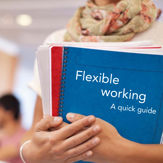## Flexible working A quick guide

Georgian Family ż ē s ۵ ś ś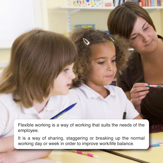Flexible working is a way of working that suits the needs of the employee.

It is a way of sharing, staggering or breaking up the normal working day or week in order to improve work/life balance.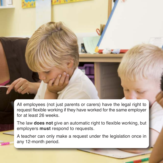All employees (not just parents or carers) have the legal right to request flexible working if they have worked for the same employer for at least 26 weeks.

The law **does not** give an automatic right to flexible working, but employers **must** respond to requests.

A teacher can only make a request under the legislation once in any 12-month period.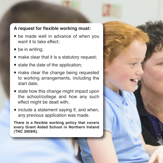## **A request for flexible working must:**

- **E** be made well in advance of when you want it to take effect;
- $\blacksquare$  be in writing;
- $\blacksquare$  make clear that it is a statutory request;
- $\blacksquare$  state the date of the application;
- n make clear the change being requested to working arrangements, including the start date;
- $\blacksquare$  state how this change might impact upon the school/college and how any such effect might be dealt with;
- $\blacksquare$  include a statement saying if, and when, any previous application was made.

**There is a flexible working policy that covers every Grant Aided School in Northern Ireland (TNC 2009/6).**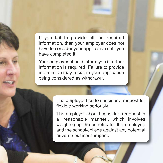If you fail to provide all the required information, then your employer does not have to consider your application until you have completed it.

Your employer should inform you if further information is required. Failure to provide information may result in your application being considered as withdrawn.

> The employer has to consider a request for flexible working seriously.

> The employer should consider a request in a 'reasonable manner', which involves weighing up the benefits for the employee and the school/college against any potential adverse business impact.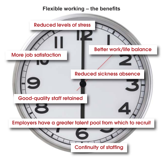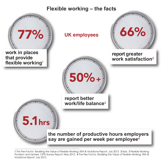## **Flexible working – the facts**



1 The Flex Factor: Realising the Value of Flexible Working, RSA & Vodafone Report, July 2013; 2 Ibid; 3 Flexible Working Provision and Uptake, CIPD Survey Report, May 2012; 4 The Flex Factor: Realising the Value of Flexible Working, RSA & Vodafone Report, July 2013.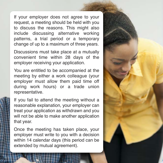If your employer does not agree to your request, a meeting should be held with you to discuss the reasons. This might also include discussing alternative working patterns, a trial period or a temporary change of up to a maximum of three years.

Discussions must take place at a mutually convenient time within 28 days of the employer receiving your application.

You are entitled to be accompanied at the meeting by either a work colleague (your employer must allow them paid time off during work hours) or a trade union representative.

If you fail to attend the meeting without a reasonable explanation, your employer can treat your application as withdrawn and you will not be able to make another application that year.

Once the meeting has taken place, your employer must write to you with a decision within 14 calendar days (this period can be extended by mutual agreement).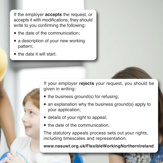If the employer **accepts** the request, or accepts it with modifications, they should write to you confirming the following:

- $\blacksquare$  the date of the communication:
- $\blacksquare$  a description of your new working pattern;
- $\blacksquare$  the date it will start.

If your employer **rejects** your request, you should be given in writing:

- $\blacksquare$  the business ground(s) for refusing;
- $\blacksquare$  an explanation why the business ground(s) apply to your application;
- $\blacksquare$  details of your right to appeal;
- $\blacksquare$  the date of the communication.

The statutory appeals process sets out your rights, including timescales and representation.

**www.nasuwt.org.uk/FlexibleWorkingNorthernIreland**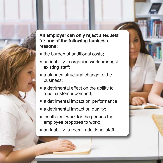

**An employer can only reject a request for one of the following business reasons:** 

- $\blacksquare$  the burden of additional costs:
- n an inability to organise work amongst existing staff;
- a planned structural change to the business;
- $\blacksquare$  a detrimental effect on the ability to meet customer demand;
- a detrimental impact on performance;
- $\blacksquare$  a detrimental impact on quality;
- $\blacksquare$  insufficient work for the periods the employee proposes to work;
- $\blacksquare$  an inability to recruit additional staff.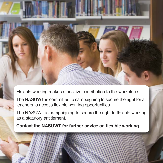Flexible working makes a positive contribution to the workplace.

The NASUWT is committed to campaigning to secure the right for all teachers to access flexible working opportunities.

The NASUWT is campaigning to secure the right to flexible working as a statutory entitlement.

**Contact the NASUWT for further advice on flexible working.**